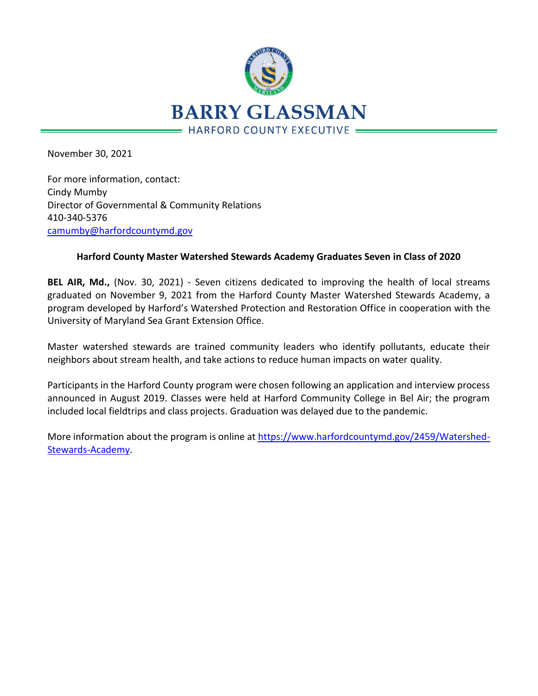

November 30, 2021

For more information, contact: Cindy Mumby Director of Governmental & Community Relations 410-340-5376 [camumby@harfordcountymd.gov](mailto:camumby@harfordcountymd.gov)

## **Harford County Master Watershed Stewards Academy Graduates Seven in Class of 2020**

**BEL AIR, Md.,** (Nov. 30, 2021) - Seven citizens dedicated to improving the health of local streams graduated on November 9, 2021 from the Harford County Master Watershed Stewards Academy, a program developed by Harford's Watershed Protection and Restoration Office in cooperation with the University of Maryland Sea Grant Extension Office.

Master watershed stewards are trained community leaders who identify pollutants, educate their neighbors about stream health, and take actions to reduce human impacts on water quality.

Participants in the Harford County program were chosen following an application and interview process announced in August 2019. Classes were held at Harford Community College in Bel Air; the program included local fieldtrips and class projects. Graduation was delayed due to the pandemic.

More information about the program is online at [https://www.harfordcountymd.gov/2459/Watershed-](https://nam12.safelinks.protection.outlook.com/?url=https%3A%2F%2Fwww.harfordcountymd.gov%2F2459%2FWatershed-Stewards-Academy&data=04%7C01%7Ckblowery%40harfordcountymd.gov%7C301c28fd09b64340a75d08d9b419bba4%7C4235188d82284164a04d76ccc8339f8f%7C0%7C0%7C637738844907369333%7CUnknown%7CTWFpbGZsb3d8eyJWIjoiMC4wLjAwMDAiLCJQIjoiV2luMzIiLCJBTiI6Ik1haWwiLCJXVCI6Mn0%3D%7C3000&sdata=K8UAwGSobBiUIxKKEx2GNiuk7UONWJEnoGY7OtARUpM%3D&reserved=0)[Stewards-Academy.](https://nam12.safelinks.protection.outlook.com/?url=https%3A%2F%2Fwww.harfordcountymd.gov%2F2459%2FWatershed-Stewards-Academy&data=04%7C01%7Ckblowery%40harfordcountymd.gov%7C301c28fd09b64340a75d08d9b419bba4%7C4235188d82284164a04d76ccc8339f8f%7C0%7C0%7C637738844907369333%7CUnknown%7CTWFpbGZsb3d8eyJWIjoiMC4wLjAwMDAiLCJQIjoiV2luMzIiLCJBTiI6Ik1haWwiLCJXVCI6Mn0%3D%7C3000&sdata=K8UAwGSobBiUIxKKEx2GNiuk7UONWJEnoGY7OtARUpM%3D&reserved=0)